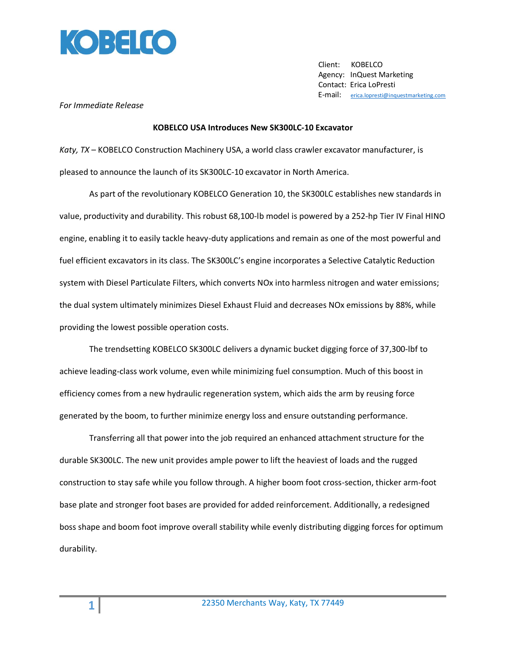

 Client: KOBELCO Agency: InQuest Marketing Contact: Erica LoPresti E-mail: [erica.lopresti@inquestmarketing.com](mailto:erica.lopresti@inquestmarketing.com)

## *For Immediate Release*

## **KOBELCO USA Introduces New SK300LC-10 Excavator**

*Katy, TX* – KOBELCO Construction Machinery USA, a world class crawler excavator manufacturer, is pleased to announce the launch of its SK300LC-10 excavator in North America.

As part of the revolutionary KOBELCO Generation 10, the SK300LC establishes new standards in value, productivity and durability. This robust 68,100-lb model is powered by a 252-hp Tier IV Final HINO engine, enabling it to easily tackle heavy-duty applications and remain as one of the most powerful and fuel efficient excavators in its class. The SK300LC's engine incorporates a Selective Catalytic Reduction system with Diesel Particulate Filters, which converts NOx into harmless nitrogen and water emissions; the dual system ultimately minimizes Diesel Exhaust Fluid and decreases NOx emissions by 88%, while providing the lowest possible operation costs.

The trendsetting KOBELCO SK300LC delivers a dynamic bucket digging force of 37,300-lbf to achieve leading-class work volume, even while minimizing fuel consumption. Much of this boost in efficiency comes from a new hydraulic regeneration system, which aids the arm by reusing force generated by the boom, to further minimize energy loss and ensure outstanding performance.

Transferring all that power into the job required an enhanced attachment structure for the durable SK300LC. The new unit provides ample power to lift the heaviest of loads and the rugged construction to stay safe while you follow through. A higher boom foot cross-section, thicker arm-foot base plate and stronger foot bases are provided for added reinforcement. Additionally, a redesigned boss shape and boom foot improve overall stability while evenly distributing digging forces for optimum durability.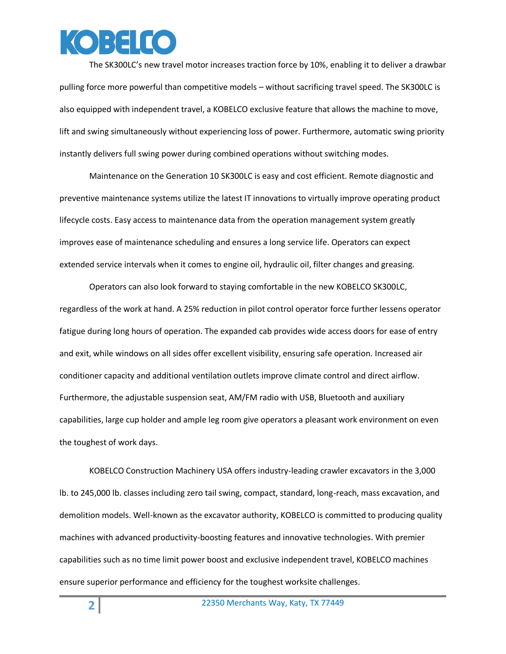

The SK300LC's new travel motor increases traction force by 10%, enabling it to deliver a drawbar pulling force more powerful than competitive models – without sacrificing travel speed. The SK300LC is also equipped with independent travel, a KOBELCO exclusive feature that allows the machine to move, lift and swing simultaneously without experiencing loss of power. Furthermore, automatic swing priority instantly delivers full swing power during combined operations without switching modes.

Maintenance on the Generation 10 SK300LC is easy and cost efficient. Remote diagnostic and preventive maintenance systems utilize the latest IT innovations to virtually improve operating product lifecycle costs. Easy access to maintenance data from the operation management system greatly improves ease of maintenance scheduling and ensures a long service life. Operators can expect extended service intervals when it comes to engine oil, hydraulic oil, filter changes and greasing.

Operators can also look forward to staying comfortable in the new KOBELCO SK300LC, regardless of the work at hand. A 25% reduction in pilot control operator force further lessens operator fatigue during long hours of operation. The expanded cab provides wide access doors for ease of entry and exit, while windows on all sides offer excellent visibility, ensuring safe operation. Increased air conditioner capacity and additional ventilation outlets improve climate control and direct airflow. Furthermore, the adjustable suspension seat, AM/FM radio with USB, Bluetooth and auxiliary capabilities, large cup holder and ample leg room give operators a pleasant work environment on even the toughest of work days.

KOBELCO Construction Machinery USA offers industry-leading crawler excavators in the 3,000 lb. to 245,000 lb. classes including zero tail swing, compact, standard, long-reach, mass excavation, and demolition models. Well-known as the excavator authority, KOBELCO is committed to producing quality machines with advanced productivity-boosting features and innovative technologies. With premier capabilities such as no time limit power boost and exclusive independent travel, KOBELCO machines ensure superior performance and efficiency for the toughest worksite challenges.